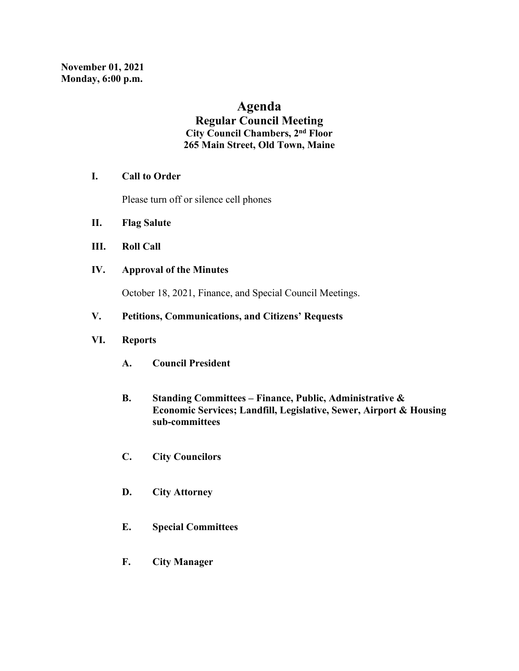# **Agenda**

## **Regular Council Meeting City Council Chambers, 2nd Floor 265 Main Street, Old Town, Maine**

## **I. Call to Order**

Please turn off or silence cell phones

- **II. Flag Salute**
- **III. Roll Call**
- **IV. Approval of the Minutes**

October 18, 2021, Finance, and Special Council Meetings.

### **V. Petitions, Communications, and Citizens' Requests**

## **VI. Reports**

- **A. Council President**
- **B. Standing Committees – Finance, Public, Administrative & Economic Services; Landfill, Legislative, Sewer, Airport & Housing sub-committees**
- **C. City Councilors**
- **D. City Attorney**
- **E. Special Committees**
- **F. City Manager**